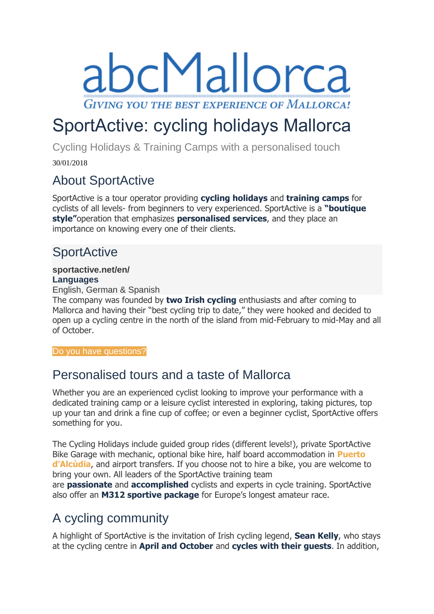bcMallorca **GIVING YOU THE BEST EXPERIENCE OF MALLORCA!** 

# SportActive: cycling holidays Mallorca

Cycling Holidays & Training Camps with a personalised touch

30/01/2018

### About SportActive

SportActive is a tour operator providing **cycling holidays** and **training camps** for cyclists of all levels- from beginners to very experienced. SportActive is a **"boutique style"**operation that emphasizes **personalised services**, and they place an importance on knowing every one of their clients.

# **SportActive**

#### **[sportactive.net/en/](http://sportactive.net/en/) Languages**

English, German & Spanish

The company was founded by **two Irish cycling** enthusiasts and after coming to Mallorca and having their "best cycling trip to date," they were hooked and decided to open up a cycling centre in the north of the island from mid-February to mid-May and all of October.

[Do you have questions?](https://www.abc-mallorca.com/cycling-holiday-alcudia-mallorca/#gf_49)

### Personalised tours and a taste of Mallorca

Whether you are an experienced cyclist looking to improve your performance with a dedicated training camp or a leisure cyclist interested in exploring, taking pictures, top up your tan and drink a fine cup of coffee; or even a beginner cyclist, SportActive offers something for you.

The Cycling Holidays include guided group rides (different levels!), private SportActive Bike Garage with mechanic, optional bike hire, half board accommodation in **[Puerto](https://www.abc-mallorca.com/port-alcudia/)  [d'Alcùdia](https://www.abc-mallorca.com/port-alcudia/)**, and airport transfers. If you choose not to hire a bike, you are welcome to bring your own. All leaders of the SportActive training team

are **passionate** and **accomplished** cyclists and experts in cycle training. SportActive also offer an **M312 sportive package** for Europe's longest amateur race.

# A cycling community

A highlight of SportActive is the invitation of Irish cycling legend, **Sean Kelly**, who stays at the cycling centre in **April and October** and **cycles with their guests**. In addition,